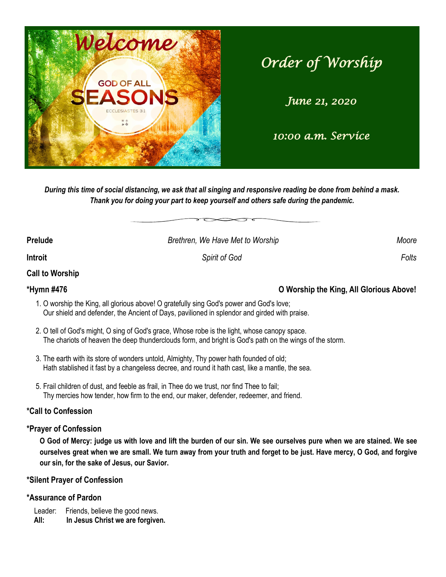

# *Order of Worship*

*June 21, 2020* 

## *10:00 a.m. Service*

*During this time of social distancing, we ask that all singing and responsive reading be done from behind a mask. Thank you for doing your part to keep yourself and others safe during the pandemic.*

| Prelude                | Brethren, We Have Met to Worship | Moore |
|------------------------|----------------------------------|-------|
| <b>Introit</b>         | <b>Spirit of God</b>             | Folts |
| <b>Call to Worship</b> |                                  |       |

### **\*Hymn #476 O Worship the King, All Glorious Above!**

- 1. O worship the King, all glorious above! O gratefully sing God's power and God's love; Our shield and defender, the Ancient of Days, pavilioned in splendor and girded with praise.
- 2. O tell of God's might, O sing of God's grace, Whose robe is the light, whose canopy space. The chariots of heaven the deep thunderclouds form, and bright is God's path on the wings of the storm.
- 3. The earth with its store of wonders untold, Almighty, Thy power hath founded of old; Hath stablished it fast by a changeless decree, and round it hath cast, like a mantle, the sea.
- 5. Frail children of dust, and feeble as frail, in Thee do we trust, nor find Thee to fail; Thy mercies how tender, how firm to the end, our maker, defender, redeemer, and friend.

### **\*Call to Confession**

### **\*Prayer of Confession**

**O God of Mercy: judge us with love and lift the burden of our sin. We see ourselves pure when we are stained. We see ourselves great when we are small. We turn away from your truth and forget to be just. Have mercy, O God, and forgive our sin, for the sake of Jesus, our Savior.**

#### **\*Silent Prayer of Confession**

### **\*Assurance of Pardon**

Leader: Friends, believe the good news.  **All: In Jesus Christ we are forgiven.**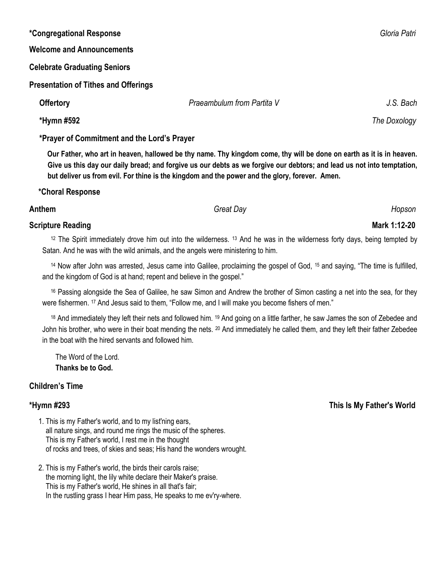| <i>*Congregational Response</i>                                                                                      |                            | Gloria Patri |  |  |
|----------------------------------------------------------------------------------------------------------------------|----------------------------|--------------|--|--|
| <b>Welcome and Announcements</b>                                                                                     |                            |              |  |  |
| <b>Celebrate Graduating Seniors</b>                                                                                  |                            |              |  |  |
| <b>Presentation of Tithes and Offerings</b>                                                                          |                            |              |  |  |
| <b>Offertory</b>                                                                                                     | Praeambulum from Partita V | J.S. Bach    |  |  |
| *Hymn #592                                                                                                           |                            | The Doxology |  |  |
| *Prayer of Commitment and the Lord's Prayer                                                                          |                            |              |  |  |
| Our Father, who art in heaven, hallowed be thy name. Thy kingdom come, thy will be done on earth as it is in heaven. |                            |              |  |  |

**but deliver us from evil. For thine is the kingdom and the power and the glory, forever. Amen. \*Choral Response**

**Anthem** *Great Day Hopson*

#### **Scripture Reading Mark 1:12-20**

<sup>12</sup> The Spirit immediately drove him out into the wilderness. <sup>13</sup> And he was in the wilderness forty days, being tempted by Satan. And he was with the wild animals, and the angels were ministering to him.

<sup>14</sup> Now after John was arrested, Jesus came into Galilee, proclaiming the gospel of God, <sup>15</sup> and saying, "The time is fulfilled, and the kingdom of God is at hand; repent and believe in the gospel."

<sup>16</sup> Passing alongside the Sea of Galilee, he saw Simon and Andrew the brother of Simon casting a net into the sea, for they were fishermen. <sup>17</sup> And Jesus said to them, "Follow me, and I will make you become fishers of men."

<sup>18</sup> And immediately they left their nets and followed him. <sup>19</sup> And going on a little farther, he saw James the son of Zebedee and John his brother, who were in their boat mending the nets. <sup>20</sup> And immediately he called them, and they left their father Zebedee in the boat with the hired servants and followed him.

 The Word of the Lord. **Thanks be to God.**

### **Children's Time**

- 1. This is my Father's world, and to my list'ning ears, all nature sings, and round me rings the music of the spheres. This is my Father's world, I rest me in the thought of rocks and trees, of skies and seas; His hand the wonders wrought.
- 2. This is my Father's world, the birds their carols raise; the morning light, the lily white declare their Maker's praise. This is my Father's world, He shines in all that's fair; In the rustling grass I hear Him pass, He speaks to me ev'ry-where.

**\*Hymn #293 This Is My Father's World**

**Give us this day our daily bread; and forgive us our debts as we forgive our debtors; and lead us not into temptation,**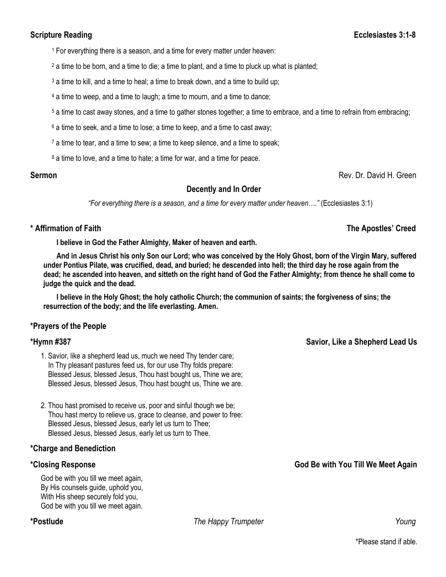### **Scripture Reading Ecclesiastes 3:1-8**

<sup>1</sup> For everything there is a season, and a time for every matter under heaven:

 $2a$  time to be born, and a time to die; a time to plant, and a time to pluck up what is planted;

<sup>3</sup> a time to kill, and a time to heal; a time to break down, and a time to build up;

<sup>4</sup> a time to weep, and a time to laugh; a time to mourn, and a time to dance;

<sup>5</sup> a time to cast away stones, and a time to gather stones together; a time to embrace, and a time to refrain from embracing;

 $6$  a time to seek, and a time to lose; a time to keep, and a time to cast away;

<sup>7</sup> a time to tear, and a time to sew; a time to keep silence, and a time to speak;

<sup>8</sup> a time to love, and a time to hate; a time for war, and a time for peace.

### **Decently and In Order**

*"For everything there is a season, and a time for every matter under heaven…."* (Ecclesiastes 3:1)

### **\* Affirmation of Faith The Apostles' Creed**

**I believe in God the Father Almighty, Maker of heaven and earth.**

**And in Jesus Christ his only Son our Lord; who was conceived by the Holy Ghost, born of the Virgin Mary, suffered under Pontius Pilate, was crucified, dead, and buried; he descended into hell; the third day he rose again from the dead; he ascended into heaven, and sitteth on the right hand of God the Father Almighty; from thence he shall come to judge the quick and the dead.**

**I believe in the Holy Ghost; the holy catholic Church; the communion of saints; the forgiveness of sins; the resurrection of the body; and the life everlasting. Amen.**

#### **\*Prayers of the People**

- 1. Savior, like a shepherd lead us, much we need Thy tender care; In Thy pleasant pastures feed us, for our use Thy folds prepare: Blessed Jesus, blessed Jesus, Thou hast bought us, Thine we are; Blessed Jesus, blessed Jesus, Thou hast bought us, Thine we are.
- 2. Thou hast promised to receive us, poor and sinful though we be; Thou hast mercy to relieve us, grace to cleanse, and power to free: Blessed Jesus, blessed Jesus, early let us turn to Thee; Blessed Jesus, blessed Jesus, early let us turn to Thee.

#### **\*Charge and Benediction**

God be with you till we meet again, By His counsels guide, uphold you, With His sheep securely fold you, God be with you till we meet again.

**\*Postlude** *The Happy Trumpeter Young* 

**Sermon Rev. Dr. David H. Green Rev. Dr. David H. Green** 

**\*Hymn #387 Savior, Like a Shepherd Lead Us**

**\*Closing Response God Be with You Till We Meet Again**